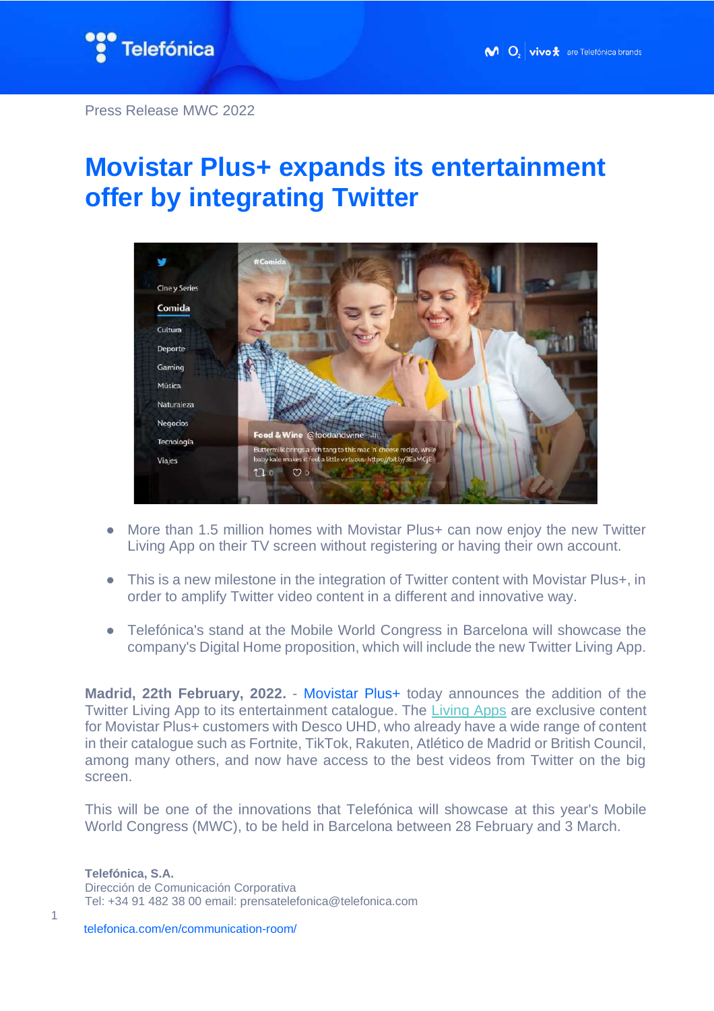

## **Movistar Plus+ expands its entertainment offer by integrating Twitter**



- More than 1.5 million homes with Movistar Plus+ can now enjoy the new Twitter Living App on their TV screen without registering or having their own account.
- This is a new milestone in the integration of Twitter content with Movistar Plus+, in order to amplify Twitter video content in a different and innovative way.
- Telefónica's stand at the Mobile World Congress in Barcelona will showcase the company's Digital Home proposition, which will include the new Twitter Living App.

**Madrid, 22th February, 2022.** - Movistar Plus+ today announces the addition of the Twitter Living App to its entertainment catalogue. The [Living Apps](https://livingapps.telefonica.com/) are exclusive content for Movistar Plus+ customers with Desco UHD, who already have a wide range of content in their catalogue such as Fortnite, TikTok, Rakuten, Atlético de Madrid or British Council, among many others, and now have access to the best videos from Twitter on the big screen.

This will be one of the innovations that Telefónica will showcase at this year's Mobile World Congress (MWC), to be held in Barcelona between 28 February and 3 March.

**Telefónica, S.A.** Dirección de Comunicación Corporativa Tel: +34 91 482 38 00 email: prensatelefonica@telefonica.com

telefonica.com/en/communication-room/